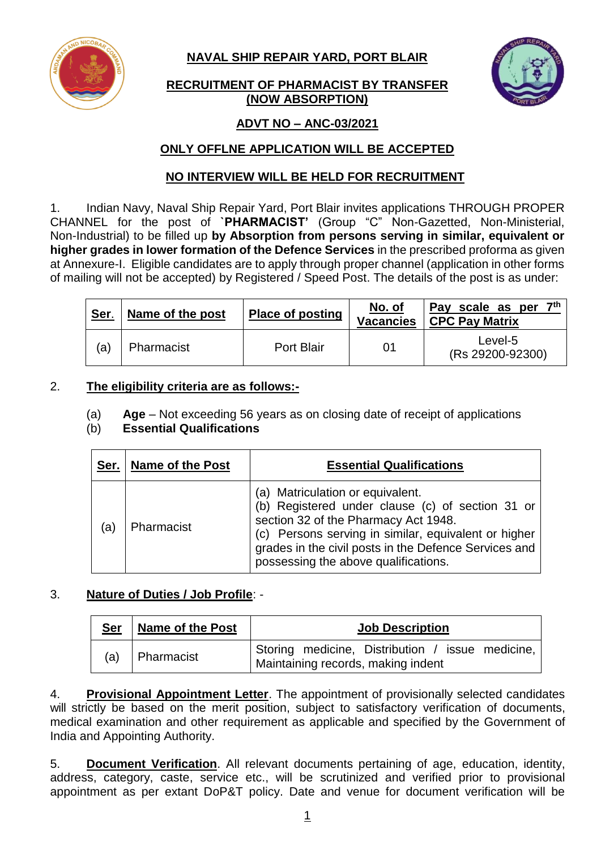**NAVAL SHIP REPAIR YARD, PORT BLAIR**





# **ADVT NO – ANC-03/2021**

# **ONLY OFFLNE APPLICATION WILL BE ACCEPTED**

# **NO INTERVIEW WILL BE HELD FOR RECRUITMENT**

1. Indian Navy, Naval Ship Repair Yard, Port Blair invites applications THROUGH PROPER CHANNEL for the post of **`PHARMACIST'** (Group "C" Non-Gazetted, Non-Ministerial, Non-Industrial) to be filled up **by Absorption from persons serving in similar, equivalent or higher grades in lower formation of the Defence Services** in the prescribed proforma as given at Annexure-I. Eligible candidates are to apply through proper channel (application in other forms of mailing will not be accepted) by Registered / Speed Post. The details of the post is as under:

| Ser. | Name of the post | <b>Place of posting</b> | No. of<br><b>Vacancies</b> | 7 <sup>th</sup><br>Pay scale as per<br><b>CPC Pay Matrix</b> |
|------|------------------|-------------------------|----------------------------|--------------------------------------------------------------|
| (a)  | Pharmacist       | Port Blair              | 01                         | Level-5<br>(Rs 29200-92300)                                  |

## 2. **The eligibility criteria are as follows:-**

(a) **Age** – Not exceeding 56 years as on closing date of receipt of applications

### (b) **Essential Qualifications**

| Ser. | <b>Name of the Post</b> | <b>Essential Qualifications</b>                                                                                                                                                                                                                                                       |
|------|-------------------------|---------------------------------------------------------------------------------------------------------------------------------------------------------------------------------------------------------------------------------------------------------------------------------------|
| (a)  | Pharmacist              | (a) Matriculation or equivalent.<br>(b) Registered under clause (c) of section 31 or<br>section 32 of the Pharmacy Act 1948.<br>(c) Persons serving in similar, equivalent or higher<br>grades in the civil posts in the Defence Services and<br>possessing the above qualifications. |

# 3. **Nature of Duties / Job Profile**: -

| <u>Ser</u> | <b>Name of the Post</b> | <b>Job Description</b>                                                                 |  |  |
|------------|-------------------------|----------------------------------------------------------------------------------------|--|--|
|            | $(a)$   Pharmacist      | Storing medicine, Distribution / issue medicine,<br>Maintaining records, making indent |  |  |

4. **Provisional Appointment Letter**. The appointment of provisionally selected candidates will strictly be based on the merit position, subject to satisfactory verification of documents, medical examination and other requirement as applicable and specified by the Government of India and Appointing Authority.

5. **Document Verification**. All relevant documents pertaining of age, education, identity, address, category, caste, service etc., will be scrutinized and verified prior to provisional appointment as per extant DoP&T policy. Date and venue for document verification will be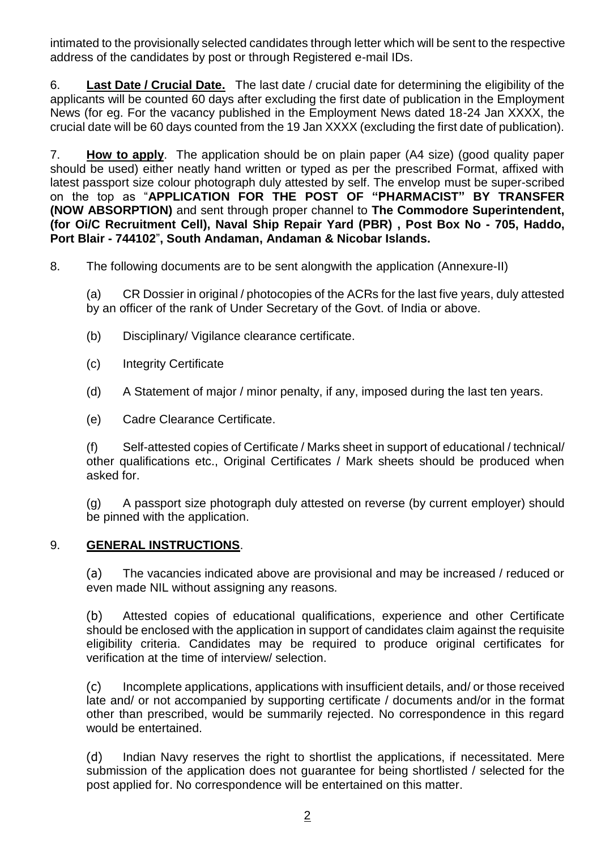intimated to the provisionally selected candidates through letter which will be sent to the respective address of the candidates by post or through Registered e-mail IDs.

6. **Last Date / Crucial Date.** The last date / crucial date for determining the eligibility of the applicants will be counted 60 days after excluding the first date of publication in the Employment News (for eg. For the vacancy published in the Employment News dated 18-24 Jan XXXX, the crucial date will be 60 days counted from the 19 Jan XXXX (excluding the first date of publication).

7. **How to apply**. The application should be on plain paper (A4 size) (good quality paper should be used) either neatly hand written or typed as per the prescribed Format, affixed with latest passport size colour photograph duly attested by self. The envelop must be super-scribed on the top as "**APPLICATION FOR THE POST OF "PHARMACIST" BY TRANSFER (NOW ABSORPTION)** and sent through proper channel to **The Commodore Superintendent, (for Oi/C Recruitment Cell), Naval Ship Repair Yard (PBR) , Post Box No - 705, Haddo, Port Blair - 744102**"**, South Andaman, Andaman & Nicobar Islands.**

8. The following documents are to be sent alongwith the application (Annexure-II)

(a) CR Dossier in original / photocopies of the ACRs for the last five years, duly attested by an officer of the rank of Under Secretary of the Govt. of India or above.

- (b) Disciplinary/ Vigilance clearance certificate.
- (c) Integrity Certificate
- (d) A Statement of major / minor penalty, if any, imposed during the last ten years.
- (e) Cadre Clearance Certificate.

(f) Self-attested copies of Certificate / Marks sheet in support of educational / technical/ other qualifications etc., Original Certificates / Mark sheets should be produced when asked for.

(g) A passport size photograph duly attested on reverse (by current employer) should be pinned with the application.

#### 9. **GENERAL INSTRUCTIONS**.

(a) The vacancies indicated above are provisional and may be increased / reduced or even made NIL without assigning any reasons.

(b) Attested copies of educational qualifications, experience and other Certificate should be enclosed with the application in support of candidates claim against the requisite eligibility criteria. Candidates may be required to produce original certificates for verification at the time of interview/ selection.

(c) Incomplete applications, applications with insufficient details, and/ or those received late and/ or not accompanied by supporting certificate / documents and/or in the format other than prescribed, would be summarily rejected. No correspondence in this regard would be entertained.

(d) Indian Navy reserves the right to shortlist the applications, if necessitated. Mere submission of the application does not guarantee for being shortlisted / selected for the post applied for. No correspondence will be entertained on this matter.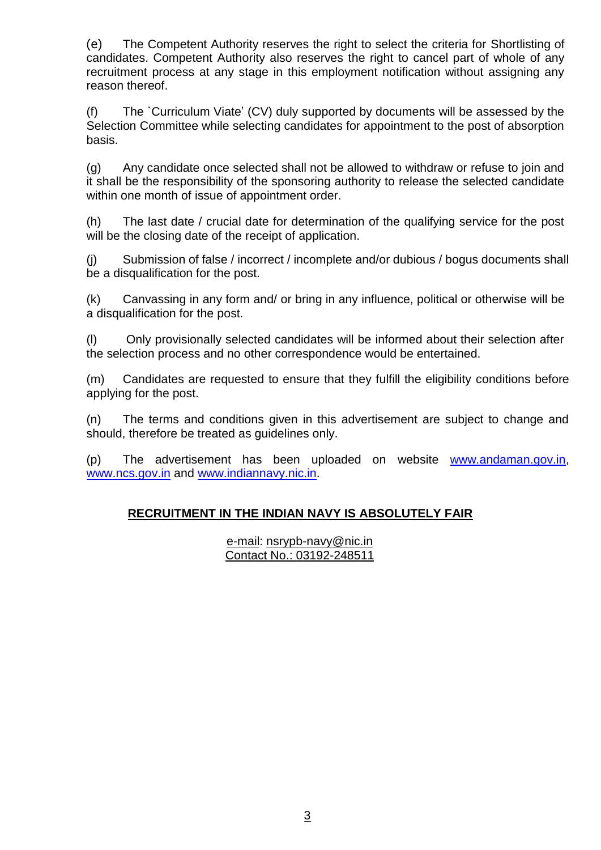(e) The Competent Authority reserves the right to select the criteria for Shortlisting of candidates. Competent Authority also reserves the right to cancel part of whole of any recruitment process at any stage in this employment notification without assigning any reason thereof.

(f) The `Curriculum Viate' (CV) duly supported by documents will be assessed by the Selection Committee while selecting candidates for appointment to the post of absorption basis.

(g) Any candidate once selected shall not be allowed to withdraw or refuse to join and it shall be the responsibility of the sponsoring authority to release the selected candidate within one month of issue of appointment order.

(h) The last date / crucial date for determination of the qualifying service for the post will be the closing date of the receipt of application.

(j) Submission of false / incorrect / incomplete and/or dubious / bogus documents shall be a disqualification for the post.

(k) Canvassing in any form and/ or bring in any influence, political or otherwise will be a disqualification for the post.

(l) Only provisionally selected candidates will be informed about their selection after the selection process and no other correspondence would be entertained.

(m) Candidates are requested to ensure that they fulfill the eligibility conditions before applying for the post.

(n) The terms and conditions given in this advertisement are subject to change and should, therefore be treated as guidelines only.

(p) The advertisement has been uploaded on website [www.andaman.gov.in,](http://www.andaman.gov.in/) [www.ncs.gov.in](http://www.ncs.gov.in/) and www.indiannavy.nic.in.

# **RECRUITMENT IN THE INDIAN NAVY IS ABSOLUTELY FAIR**

e-mail: [nsrypb-navy@nic.in](mailto:nsrypb-navy@nic.in) Contact No.: 03192-248511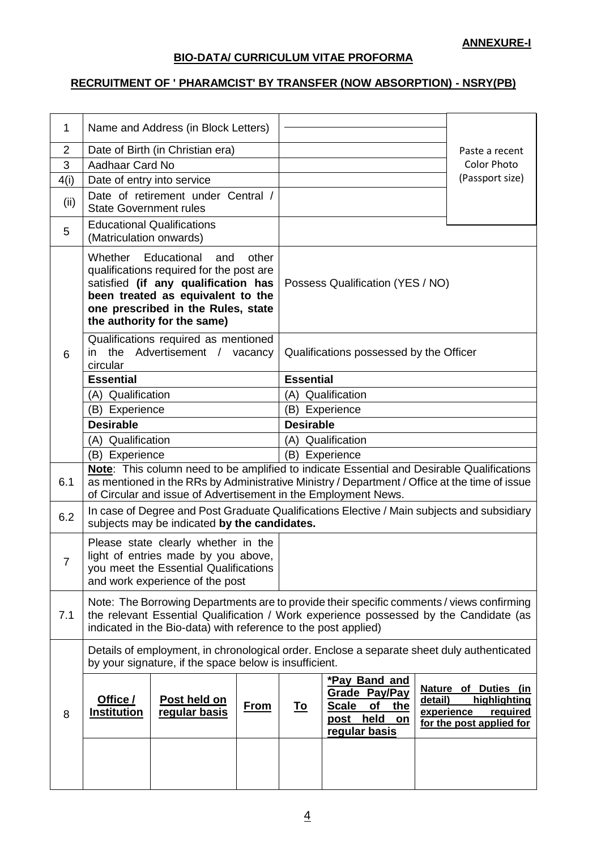## **ANNEXURE-I**

#### **BIO-DATA/ CURRICULUM VITAE PROFORMA**

## **RECRUITMENT OF ' PHARAMCIST' BY TRANSFER (NOW ABSORPTION) - NSRY(PB)**

| $\mathbf 1$                                                                                                                                          | Name and Address (in Block Letters)                                                                                                                                                                                                                          |  |                                         |                                                                                                 |                       |                                                                              |
|------------------------------------------------------------------------------------------------------------------------------------------------------|--------------------------------------------------------------------------------------------------------------------------------------------------------------------------------------------------------------------------------------------------------------|--|-----------------------------------------|-------------------------------------------------------------------------------------------------|-----------------------|------------------------------------------------------------------------------|
| 2                                                                                                                                                    | Date of Birth (in Christian era)                                                                                                                                                                                                                             |  |                                         |                                                                                                 |                       | Paste a recent                                                               |
| 3                                                                                                                                                    | Aadhaar Card No                                                                                                                                                                                                                                              |  |                                         |                                                                                                 |                       | <b>Color Photo</b>                                                           |
| 4(i)                                                                                                                                                 | Date of entry into service                                                                                                                                                                                                                                   |  |                                         |                                                                                                 |                       | (Passport size)                                                              |
| (ii)                                                                                                                                                 | Date of retirement under Central /<br><b>State Government rules</b>                                                                                                                                                                                          |  |                                         |                                                                                                 |                       |                                                                              |
| 5                                                                                                                                                    | <b>Educational Qualifications</b><br>(Matriculation onwards)                                                                                                                                                                                                 |  |                                         |                                                                                                 |                       |                                                                              |
|                                                                                                                                                      | Whether<br>Educational<br>other<br>and<br>qualifications required for the post are<br>satisfied (if any qualification has<br>been treated as equivalent to the<br>one prescribed in the Rules, state<br>the authority for the same)                          |  |                                         | Possess Qualification (YES / NO)                                                                |                       |                                                                              |
| 6                                                                                                                                                    | Qualifications required as mentioned<br>the Advertisement / vacancy<br>in<br>circular                                                                                                                                                                        |  | Qualifications possessed by the Officer |                                                                                                 |                       |                                                                              |
|                                                                                                                                                      | <b>Essential</b>                                                                                                                                                                                                                                             |  | <b>Essential</b>                        |                                                                                                 |                       |                                                                              |
|                                                                                                                                                      | (A) Qualification                                                                                                                                                                                                                                            |  | (A) Qualification                       |                                                                                                 |                       |                                                                              |
|                                                                                                                                                      | (B) Experience                                                                                                                                                                                                                                               |  | (B) Experience                          |                                                                                                 |                       |                                                                              |
|                                                                                                                                                      | <b>Desirable</b>                                                                                                                                                                                                                                             |  | <b>Desirable</b>                        |                                                                                                 |                       |                                                                              |
|                                                                                                                                                      | (A) Qualification                                                                                                                                                                                                                                            |  |                                         | (A) Qualification                                                                               |                       |                                                                              |
|                                                                                                                                                      | (B) Experience                                                                                                                                                                                                                                               |  |                                         | (B) Experience                                                                                  |                       |                                                                              |
| 6.1                                                                                                                                                  | Note: This column need to be amplified to indicate Essential and Desirable Qualifications<br>as mentioned in the RRs by Administrative Ministry / Department / Office at the time of issue<br>of Circular and issue of Advertisement in the Employment News. |  |                                         |                                                                                                 |                       |                                                                              |
| 6.2                                                                                                                                                  | In case of Degree and Post Graduate Qualifications Elective / Main subjects and subsidiary<br>subjects may be indicated by the candidates.                                                                                                                   |  |                                         |                                                                                                 |                       |                                                                              |
| 7                                                                                                                                                    | Please state clearly whether in the<br>light of entries made by you above,<br>you meet the Essential Qualifications<br>and work experience of the post                                                                                                       |  |                                         |                                                                                                 |                       |                                                                              |
| 7.1                                                                                                                                                  | Note: The Borrowing Departments are to provide their specific comments / views confirming<br>the relevant Essential Qualification / Work experience possessed by the Candidate (as<br>indicated in the Bio-data) with reference to the post applied)         |  |                                         |                                                                                                 |                       |                                                                              |
| Details of employment, in chronological order. Enclose a separate sheet duly authenticated<br>by your signature, if the space below is insufficient. |                                                                                                                                                                                                                                                              |  |                                         |                                                                                                 |                       |                                                                              |
| 8                                                                                                                                                    | Office /<br>Post held on<br><b>From</b><br>regular basis<br><b>Institution</b>                                                                                                                                                                               |  | <u>To</u>                               | *Pay Band and<br>Grade Pay/Pay<br><b>Scale</b><br>of<br>the<br>post held<br>on<br>regular basis | detail)<br>experience | Nature of Duties (in<br>highlighting<br>required<br>for the post applied for |
|                                                                                                                                                      |                                                                                                                                                                                                                                                              |  |                                         |                                                                                                 |                       |                                                                              |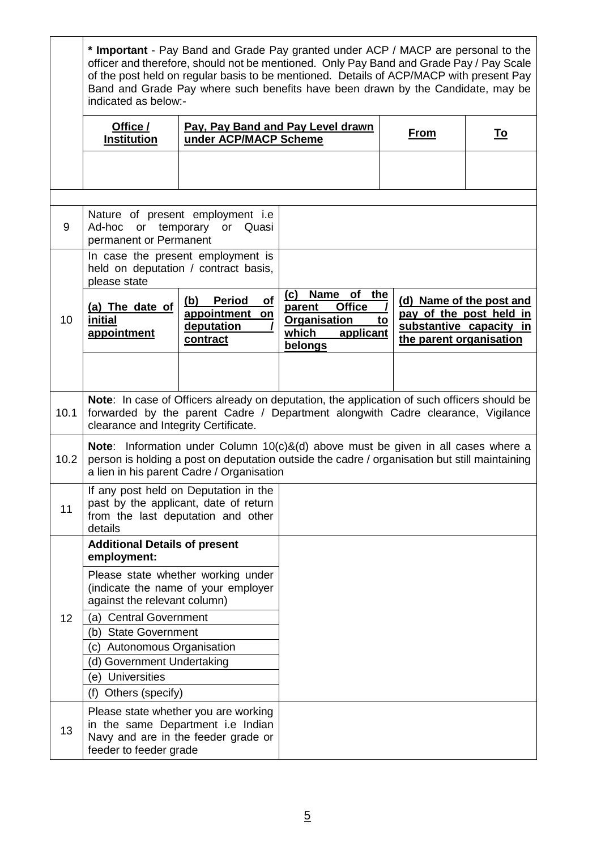|      | * Important - Pay Band and Grade Pay granted under ACP / MACP are personal to the<br>officer and therefore, should not be mentioned. Only Pay Band and Grade Pay / Pay Scale<br>of the post held on regular basis to be mentioned. Details of ACP/MACP with present Pay<br>Band and Grade Pay where such benefits have been drawn by the Candidate, may be<br>indicated as below:- |                                                                           |                                                                                                                    |                               |                                                                                |
|------|------------------------------------------------------------------------------------------------------------------------------------------------------------------------------------------------------------------------------------------------------------------------------------------------------------------------------------------------------------------------------------|---------------------------------------------------------------------------|--------------------------------------------------------------------------------------------------------------------|-------------------------------|--------------------------------------------------------------------------------|
|      | Office /<br><b>Institution</b>                                                                                                                                                                                                                                                                                                                                                     | under ACP/MACP Scheme                                                     | Pay, Pay Band and Pay Level drawn                                                                                  | <u>From</u>                   | <u>To</u>                                                                      |
|      |                                                                                                                                                                                                                                                                                                                                                                                    |                                                                           |                                                                                                                    |                               |                                                                                |
| 9    | Nature of present employment i.e<br>Ad-hoc<br>temporary<br>or Quasi<br>or<br>permanent or Permanent                                                                                                                                                                                                                                                                                |                                                                           |                                                                                                                    |                               |                                                                                |
|      | please state                                                                                                                                                                                                                                                                                                                                                                       | In case the present employment is<br>held on deputation / contract basis, |                                                                                                                    |                               |                                                                                |
| 10   | (a) The date of<br>initial<br>appointment                                                                                                                                                                                                                                                                                                                                          | of<br><b>Period</b><br>(b)<br>appointment<br>on<br>deputation<br>contract | <b>Name</b><br>of<br>the<br>(c)<br><b>Office</b><br>parent<br><b>Organisation</b><br>which<br>applicant<br>belongs | to<br>the parent organisation | (d) Name of the post and<br>pay of the post held in<br>substantive capacity in |
|      |                                                                                                                                                                                                                                                                                                                                                                                    |                                                                           |                                                                                                                    |                               |                                                                                |
| 10.1 | Note: In case of Officers already on deputation, the application of such officers should be<br>forwarded by the parent Cadre / Department alongwith Cadre clearance, Vigilance<br>clearance and Integrity Certificate.                                                                                                                                                             |                                                                           |                                                                                                                    |                               |                                                                                |
| 10.2 | <b>Note:</b> Information under Column $10(c)$ &(d) above must be given in all cases where a<br>person is holding a post on deputation outside the cadre / organisation but still maintaining<br>a lien in his parent Cadre / Organisation                                                                                                                                          |                                                                           |                                                                                                                    |                               |                                                                                |
| 11   | If any post held on Deputation in the<br>past by the applicant, date of return<br>from the last deputation and other<br>details                                                                                                                                                                                                                                                    |                                                                           |                                                                                                                    |                               |                                                                                |
|      | <b>Additional Details of present</b><br>employment:                                                                                                                                                                                                                                                                                                                                |                                                                           |                                                                                                                    |                               |                                                                                |
|      | Please state whether working under<br>(indicate the name of your employer<br>against the relevant column)                                                                                                                                                                                                                                                                          |                                                                           |                                                                                                                    |                               |                                                                                |
| 12   | (a) Central Government<br>(b) State Government                                                                                                                                                                                                                                                                                                                                     |                                                                           |                                                                                                                    |                               |                                                                                |
|      | (c) Autonomous Organisation                                                                                                                                                                                                                                                                                                                                                        |                                                                           |                                                                                                                    |                               |                                                                                |
|      | (d) Government Undertaking<br>(e) Universities                                                                                                                                                                                                                                                                                                                                     |                                                                           |                                                                                                                    |                               |                                                                                |
|      | (f)<br>Others (specify)                                                                                                                                                                                                                                                                                                                                                            |                                                                           |                                                                                                                    |                               |                                                                                |
| 13   | Please state whether you are working<br>in the same Department i.e Indian<br>Navy and are in the feeder grade or<br>feeder to feeder grade                                                                                                                                                                                                                                         |                                                                           |                                                                                                                    |                               |                                                                                |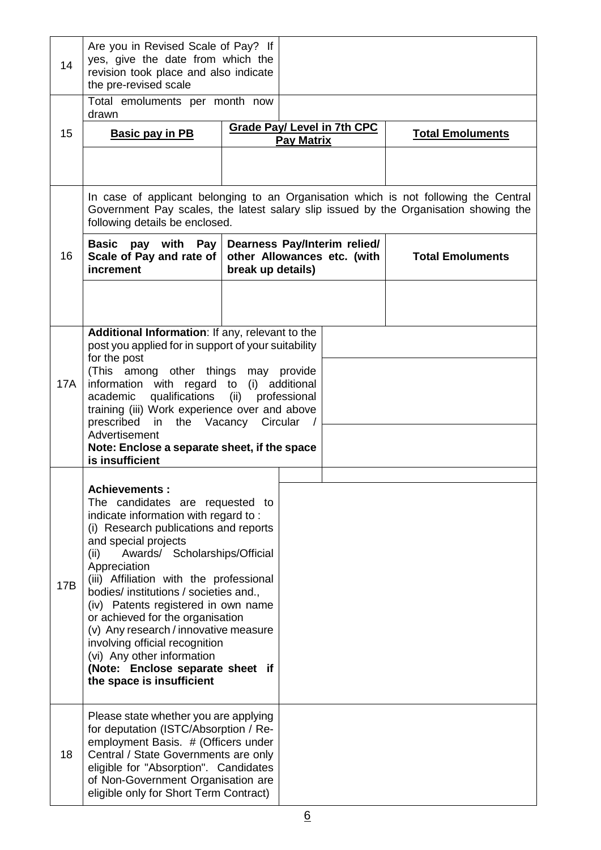| 14                                                                                                                                                                                                             | Are you in Revised Scale of Pay? If<br>yes, give the date from which the<br>revision took place and also indicate<br>the pre-revised scale                                                                                                                                                                                                                                                                                                                                                                                                                          |                   |                                                             |                         |  |
|----------------------------------------------------------------------------------------------------------------------------------------------------------------------------------------------------------------|---------------------------------------------------------------------------------------------------------------------------------------------------------------------------------------------------------------------------------------------------------------------------------------------------------------------------------------------------------------------------------------------------------------------------------------------------------------------------------------------------------------------------------------------------------------------|-------------------|-------------------------------------------------------------|-------------------------|--|
|                                                                                                                                                                                                                | Total emoluments per month now<br>drawn                                                                                                                                                                                                                                                                                                                                                                                                                                                                                                                             |                   |                                                             |                         |  |
| 15                                                                                                                                                                                                             | <b>Basic pay in PB</b>                                                                                                                                                                                                                                                                                                                                                                                                                                                                                                                                              |                   | <b>Grade Pay/ Level in 7th CPC</b><br><b>Pay Matrix</b>     | <b>Total Emoluments</b> |  |
|                                                                                                                                                                                                                |                                                                                                                                                                                                                                                                                                                                                                                                                                                                                                                                                                     |                   |                                                             |                         |  |
| In case of applicant belonging to an Organisation which is not following the Central<br>Government Pay scales, the latest salary slip issued by the Organisation showing the<br>following details be enclosed. |                                                                                                                                                                                                                                                                                                                                                                                                                                                                                                                                                                     |                   |                                                             |                         |  |
| 16                                                                                                                                                                                                             | Basic pay with<br>Pay<br>Scale of Pay and rate of<br>increment                                                                                                                                                                                                                                                                                                                                                                                                                                                                                                      | break up details) | Dearness Pay/Interim relied/<br>other Allowances etc. (with | <b>Total Emoluments</b> |  |
|                                                                                                                                                                                                                |                                                                                                                                                                                                                                                                                                                                                                                                                                                                                                                                                                     |                   |                                                             |                         |  |
| <b>17A</b>                                                                                                                                                                                                     | Additional Information: If any, relevant to the<br>post you applied for in support of your suitability<br>for the post<br>(This among other things may provide<br>information with regard to<br>qualifications (ii)<br>academic<br>training (iii) Work experience over and above<br>prescribed in the Vacancy Circular<br>Advertisement<br>Note: Enclose a separate sheet, if the space<br>is insufficient                                                                                                                                                          | (i)               | additional<br>professional<br>$\sqrt{ }$                    |                         |  |
| 17B                                                                                                                                                                                                            | <b>Achievements:</b><br>The candidates are requested to<br>indicate information with regard to:<br>(i) Research publications and reports<br>and special projects<br>Awards/ Scholarships/Official<br>(ii)<br>Appreciation<br>(iii) Affiliation with the professional<br>bodies/ institutions / societies and.,<br>(iv) Patents registered in own name<br>or achieved for the organisation<br>(v) Any research / innovative measure<br>involving official recognition<br>(vi) Any other information<br>(Note: Enclose separate sheet if<br>the space is insufficient |                   |                                                             |                         |  |
| 18                                                                                                                                                                                                             | Please state whether you are applying<br>for deputation (ISTC/Absorption / Re-<br>employment Basis. # (Officers under<br>Central / State Governments are only<br>eligible for "Absorption". Candidates<br>of Non-Government Organisation are<br>eligible only for Short Term Contract)                                                                                                                                                                                                                                                                              |                   |                                                             |                         |  |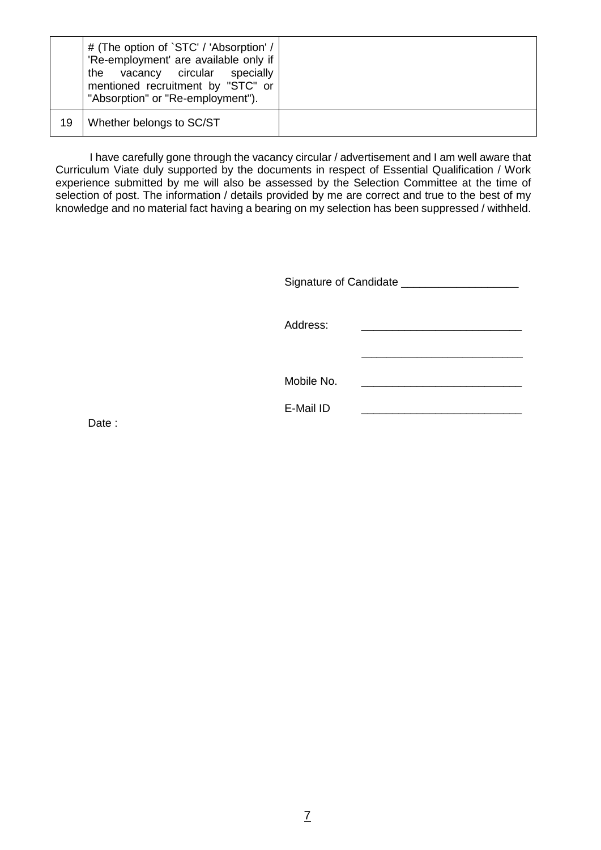|    | # (The option of `STC' / 'Absorption' /<br>'Re-employment' are available only if<br>the vacancy circular specially<br>mentioned recruitment by "STC" or<br>"Absorption" or "Re-employment"). |  |
|----|----------------------------------------------------------------------------------------------------------------------------------------------------------------------------------------------|--|
| 19 | Whether belongs to SC/ST                                                                                                                                                                     |  |

 I have carefully gone through the vacancy circular / advertisement and I am well aware that Curriculum Viate duly supported by the documents in respect of Essential Qualification / Work experience submitted by me will also be assessed by the Selection Committee at the time of selection of post. The information / details provided by me are correct and true to the best of my knowledge and no material fact having a bearing on my selection has been suppressed / withheld.

Signature of Candidate \_\_\_\_\_\_\_\_\_\_\_\_\_\_\_\_\_\_\_

Address: \_\_\_\_\_\_\_\_\_\_\_\_\_\_\_\_\_\_\_\_\_\_\_\_\_\_\_\_\_\_\_\_ Mobile No. \_\_\_\_\_\_\_\_\_\_\_\_\_\_\_\_\_\_\_\_\_\_\_\_\_\_ E-Mail ID

Date: